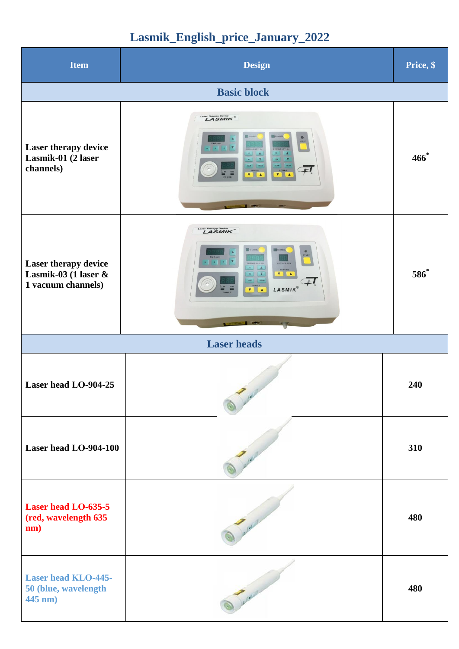## **Lasmik\_English\_price\_January\_2022**

| <b>Item</b>                                                           | <b>Design</b>                                                                                                                                                                                                                                                                                                                                                                                                                                                                                                              | Price, \$ |  |  |
|-----------------------------------------------------------------------|----------------------------------------------------------------------------------------------------------------------------------------------------------------------------------------------------------------------------------------------------------------------------------------------------------------------------------------------------------------------------------------------------------------------------------------------------------------------------------------------------------------------------|-----------|--|--|
| <b>Basic block</b>                                                    |                                                                                                                                                                                                                                                                                                                                                                                                                                                                                                                            |           |  |  |
| Laser therapy device<br>Lasmik-01 (2 laser<br>channels)               | Laser Therapy Device<br>Guns<br>$^{\circ}$<br>START<br>$x \rightarrow y$<br>$-$<br>10<br>$\blacksquare$<br>H<br><b>POWER</b><br>$\begin{array}{c c}\n & \text{power} \\  \hline\n \textbf{V} & \textbf{A}\n \end{array}$                                                                                                                                                                                                                                                                                                   | $466^*$   |  |  |
| Laser therapy device<br>Lasmik-03 (1 laser $\&$<br>1 vacuum channels) | Laser Therapy Device  LASMIK <sup>®</sup><br>$\bullet$<br>START<br>FREQUENCY, HZ<br>VACUUM, KPa<br>$10$ $\Delta$<br>SETTING<br>$\begin{picture}(130,10) \put(0,0){\line(1,0){10}} \put(15,0){\line(1,0){10}} \put(15,0){\line(1,0){10}} \put(15,0){\line(1,0){10}} \put(15,0){\line(1,0){10}} \put(15,0){\line(1,0){10}} \put(15,0){\line(1,0){10}} \put(15,0){\line(1,0){10}} \put(15,0){\line(1,0){10}} \put(15,0){\line(1,0){10}} \put(15,0){\line(1,0){10}} \put(15,0){\line($<br>3000 10000<br>#I<br>POWER<br>LASMIK® | 586*      |  |  |
|                                                                       | <b>Laser</b> heads                                                                                                                                                                                                                                                                                                                                                                                                                                                                                                         |           |  |  |
| Laser head LO-904-25                                                  |                                                                                                                                                                                                                                                                                                                                                                                                                                                                                                                            | 240       |  |  |
| Laser head LO-904-100                                                 |                                                                                                                                                                                                                                                                                                                                                                                                                                                                                                                            | 310       |  |  |
| Laser head LO-635-5<br>(red, wavelength 635<br>nm)                    |                                                                                                                                                                                                                                                                                                                                                                                                                                                                                                                            | 480       |  |  |
| <b>Laser head KLO-445-</b><br>50 (blue, wavelength<br>445 nm)         |                                                                                                                                                                                                                                                                                                                                                                                                                                                                                                                            | 480       |  |  |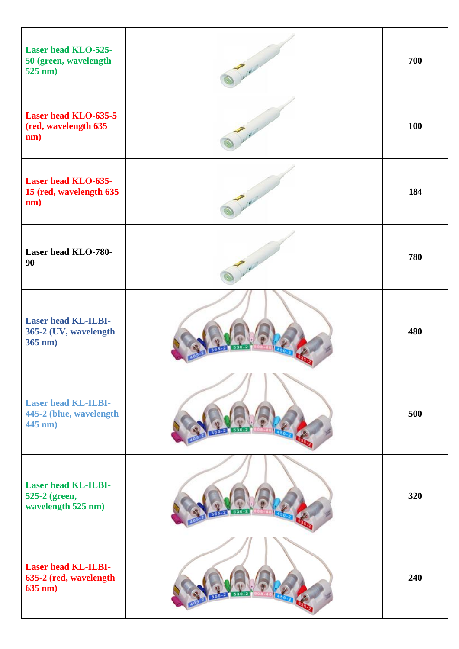| <b>Laser head KLO-525-</b><br>50 (green, wavelength<br>$525 \text{ nm}$ ) | 700 |
|---------------------------------------------------------------------------|-----|
| <b>Laser head KLO-635-5</b><br>(red, wavelength 635<br>nm)                | 100 |
| Laser head KLO-635-<br>15 (red, wavelength 635<br>nm)                     | 184 |
| Laser head KLO-780-<br>90                                                 | 780 |
| <b>Laser head KL-ILBI-</b><br>365-2 (UV, wavelength<br>$365$ nm)          | 480 |
| <b>Laser head KL-ILBI-</b><br>445-2 (blue, wavelength<br>445 nm)          | 500 |
| <b>Laser head KL-ILBI-</b><br>525-2 (green,<br>wavelength 525 nm)         | 320 |
| <b>Laser head KL-ILBI-</b><br>635-2 (red, wavelength<br>$635$ nm)         | 240 |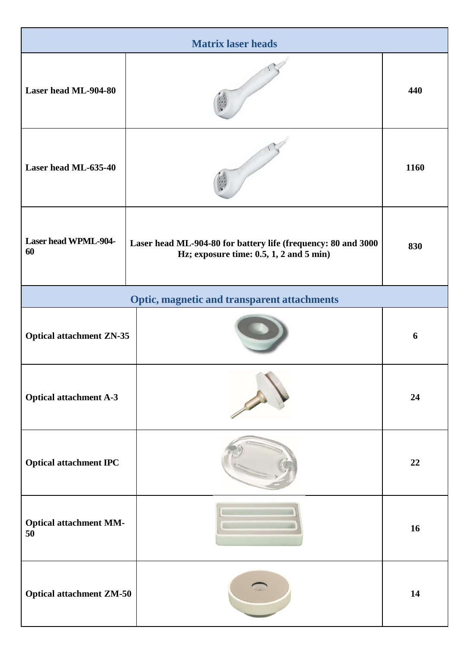| <b>Matrix laser heads</b>           |                                                                                                                    |      |
|-------------------------------------|--------------------------------------------------------------------------------------------------------------------|------|
| Laser head ML-904-80                |                                                                                                                    | 440  |
| Laser head ML-635-40                |                                                                                                                    | 1160 |
| <b>Laser head WPML-904-</b><br>60   | Laser head ML-904-80 for battery life (frequency: 80 and 3000<br>Hz; exposure time: $0.5$ , $1$ , $2$ and $5$ min) | 830  |
|                                     | <b>Optic, magnetic and transparent attachments</b>                                                                 |      |
| <b>Optical attachment ZN-35</b>     |                                                                                                                    | 6    |
| <b>Optical attachment A-3</b>       |                                                                                                                    | 24   |
| <b>Optical attachment IPC</b>       |                                                                                                                    | 22   |
| <b>Optical attachment MM-</b><br>50 |                                                                                                                    | 16   |
| <b>Optical attachment ZM-50</b>     |                                                                                                                    | 14   |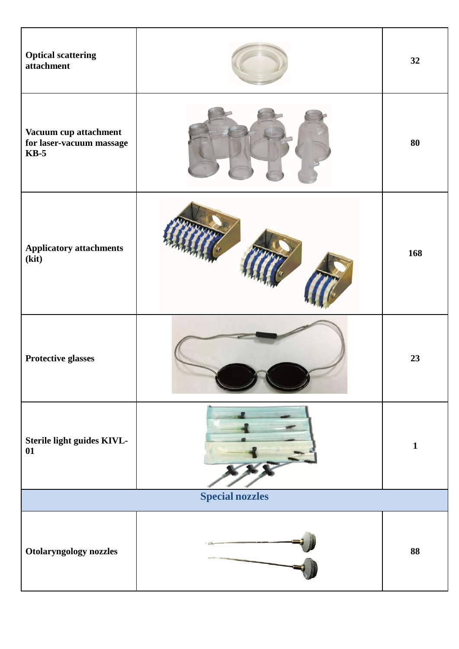| <b>Optical scattering</b><br>attachment                     |                                    | 32           |
|-------------------------------------------------------------|------------------------------------|--------------|
| Vacuum cup attachment<br>for laser-vacuum massage<br>$KB-5$ |                                    | 80           |
| <b>Applicatory attachments</b><br>(kit)                     |                                    | 168          |
| Protective glasses                                          | <b><i>URRELERRED BERRIERER</i></b> | 23           |
| Sterile light guides KIVL-<br>01                            |                                    | $\mathbf{1}$ |
| <b>Special nozzles</b>                                      |                                    |              |
| Otolaryngology nozzles                                      |                                    | 88           |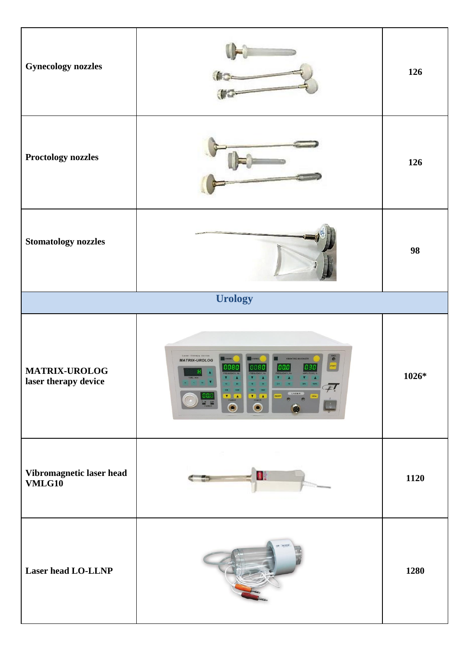